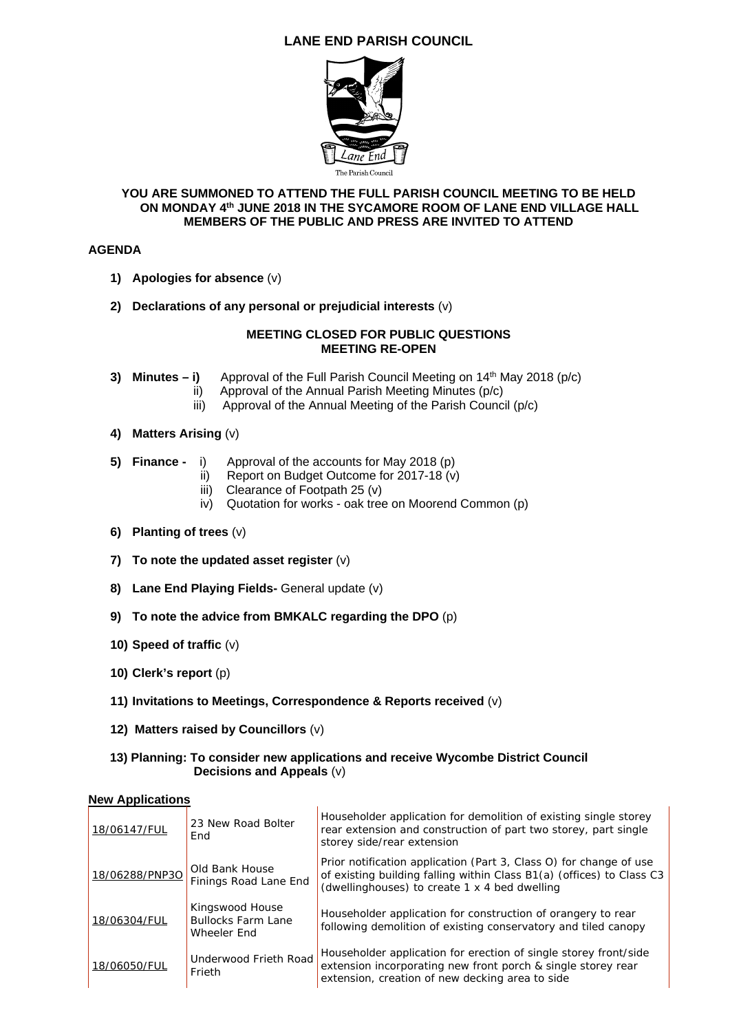# **LANE END PARISH COUNCIL**



#### **YOU ARE SUMMONED TO ATTEND THE FULL PARISH COUNCIL MEETING TO BE HELD ON MONDAY 4th JUNE 2018 IN THE SYCAMORE ROOM OF LANE END VILLAGE HALL MEMBERS OF THE PUBLIC AND PRESS ARE INVITED TO ATTEND**

# **AGENDA**

- **1) Apologies for absence** (v)
- **2) Declarations of any personal or prejudicial interests** (v)

## **MEETING CLOSED FOR PUBLIC QUESTIONS MEETING RE-OPEN**

- **3) Minutes i)** Approval of the Full Parish Council Meeting on  $14<sup>th</sup>$  May 2018 (p/c)
	- ii) Approval of the Annual Parish Meeting Minutes (p/c)
	- iii) Approval of the Annual Meeting of the Parish Council (p/c)
- **4) Matters Arising** (v)
- **5) Finance** i) Approval of the accounts for May 2018 (p)
	- ii) Report on Budget Outcome for 2017-18 (v)
	- iii) Clearance of Footpath 25 (v)
	- iv) Quotation for works oak tree on Moorend Common (p)
- **6) Planting of trees** (v)
- **7) To note the updated asset register** (v)
- **8) Lane End Playing Fields-** General update (v)
- **9) To note the advice from BMKALC regarding the DPO** (p)
- **10) Speed of traffic** (v)
- **10) Clerk's report** (p)
- **11) Invitations to Meetings, Correspondence & Reports received** (v)
- **12) Matters raised by Councillors** (v)

## **13) Planning: To consider new applications and receive Wycombe District Council Decisions and Appeals** (v)

## **New Applications**

| 18/06147/FUL   | 23 New Road Bolter<br>End                                   | Householder application for demolition of existing single storey<br>rear extension and construction of part two storey, part single<br>storey side/rear extension                            |
|----------------|-------------------------------------------------------------|----------------------------------------------------------------------------------------------------------------------------------------------------------------------------------------------|
| 18/06288/PNP3O | Old Bank House<br>Finings Road Lane End                     | Prior notification application (Part 3, Class O) for change of use<br>of existing building falling within Class B1(a) (offices) to Class C3<br>(dwellinghouses) to create 1 x 4 bed dwelling |
| 18/06304/FUL   | Kingswood House<br><b>Bullocks Farm Lane</b><br>Wheeler End | Householder application for construction of orangery to rear<br>following demolition of existing conservatory and tiled canopy                                                               |
| 18/06050/FUL   | Underwood Frieth Road<br>Frieth                             | Householder application for erection of single storey front/side<br>extension incorporating new front porch & single storey rear<br>extension, creation of new decking area to side          |